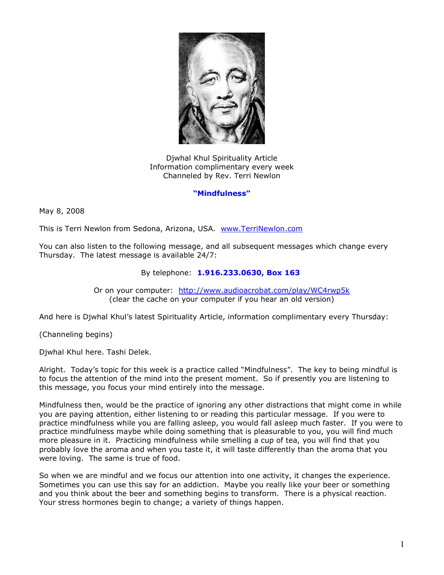

Djwhal Khul Spirituality Article Information complimentary every week Channeled by Rev. Terri Newlon

## **"Mindfulness"**

May 8, 2008

This is Terri Newlon from Sedona, Arizona, USA. [www.TerriNewlon.com](http://www.terrinewlon.com/)

You can also listen to the following message, and all subsequent messages which change every Thursday. The latest message is available 24/7:

## By telephone: **1.916.233.0630, Box 163**

Or on your computer: <http://www.audioacrobat.com/play/WC4rwp5k> (clear the cache on your computer if you hear an old version)

And here is Djwhal Khul's latest Spirituality Article, information complimentary every Thursday:

(Channeling begins)

Djwhal Khul here. Tashi Delek.

Alright. Today's topic for this week is a practice called "Mindfulness". The key to being mindful is to focus the attention of the mind into the present moment. So if presently you are listening to this message, you focus your mind entirely into the message.

Mindfulness then, would be the practice of ignoring any other distractions that might come in while you are paying attention, either listening to or reading this particular message. If you were to practice mindfulness while you are falling asleep, you would fall asleep much faster. If you were to practice mindfulness maybe while doing something that is pleasurable to you, you will find much more pleasure in it. Practicing mindfulness while smelling a cup of tea, you will find that you probably love the aroma and when you taste it, it will taste differently than the aroma that you were loving. The same is true of food.

So when we are mindful and we focus our attention into one activity, it changes the experience. Sometimes you can use this say for an addiction. Maybe you really like your beer or something and you think about the beer and something begins to transform. There is a physical reaction. Your stress hormones begin to change; a variety of things happen.